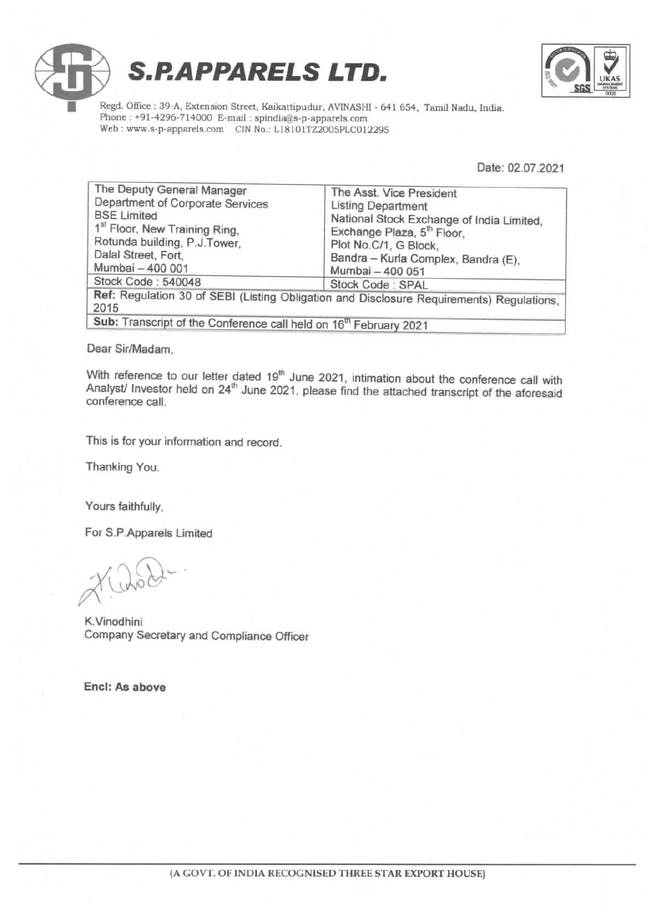



Regd. Office : 39-A, Extension Street, Kaikattipudur, AVINASHI - 641 654, Tamil Nadu, India. Phone : +91-4296-714000 E-mail : spindia@s-p-apparels.com Web : www.s-p-apparels.com CIN No.: L18101TZ2005PLC012295

Date: 02.07.2021

| The Deputy General Manager<br>Department of Corporate Services<br><b>BSE Limited</b><br>1 <sup>st</sup> Floor, New Training Ring,<br>Rotunda building, P.J.Tower,<br>Dalal Street, Fort,<br>Mumbai - 400 001 | The Asst. Vice President<br><b>Listing Department</b><br>National Stock Exchange of India Limited,<br>Exchange Plaza, 5 <sup>th</sup> Floor,<br>Plot No.C/1, G Block,<br>Bandra - Kurla Complex, Bandra (E),<br>Mumbai - 400 051 |  |
|--------------------------------------------------------------------------------------------------------------------------------------------------------------------------------------------------------------|----------------------------------------------------------------------------------------------------------------------------------------------------------------------------------------------------------------------------------|--|
| Stock Code: 540048                                                                                                                                                                                           | Stock Code: SPAL                                                                                                                                                                                                                 |  |
| Ref: Regulation 30 of SEBI (Listing Obligation and Disclosure Requirements) Regulations,<br>2015                                                                                                             |                                                                                                                                                                                                                                  |  |
| Sub: Transcript of the Conference call held on 16 <sup>th</sup> February 2021                                                                                                                                |                                                                                                                                                                                                                                  |  |
|                                                                                                                                                                                                              |                                                                                                                                                                                                                                  |  |

Dear Sir/Madam,

With reference to our letter dated 19<sup>th</sup> June 2021, intimation about the conference call with<br>Analyst/ Investor held on 24<sup>th</sup> June 2021, please find the attached transcript of the aforesaid conference cali.

This is for your information and record.

Thanking You.

Yours faithfully,

For S.P.Apparels Limited

Kubd-

K.Vinodhini Company Secretary and Compliance Officer

Encl: As above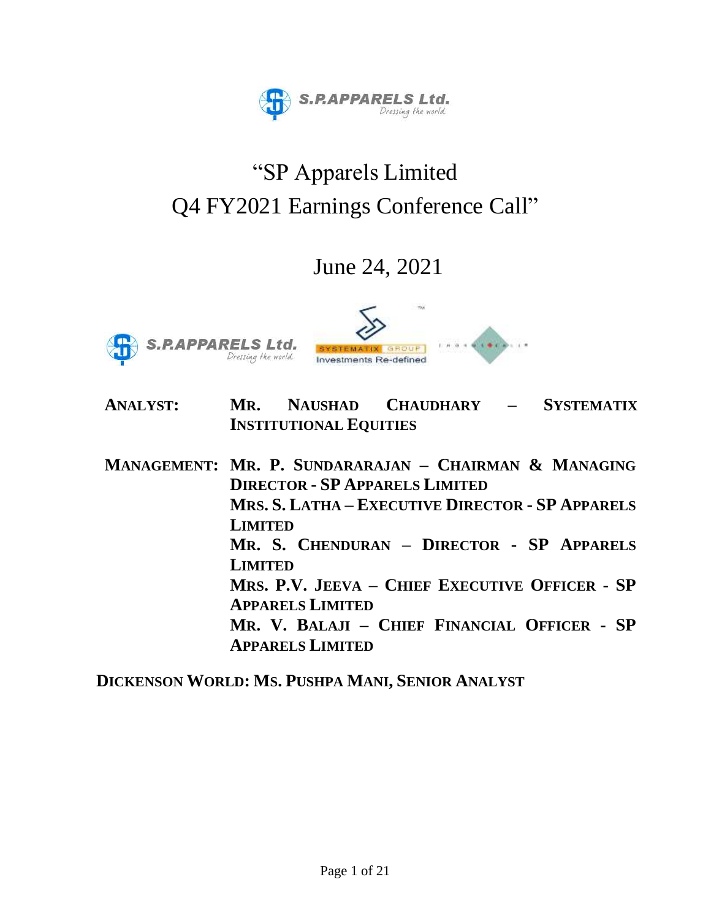

# "SP Apparels Limited Q4 FY2021 Earnings Conference Call"

# June 24, 2021





- **ANALYST: MR. NAUSHAD CHAUDHARY – SYSTEMATIX INSTITUTIONAL EQUITIES**
- **MANAGEMENT: MR. P. SUNDARARAJAN – CHAIRMAN & MANAGING DIRECTOR - SP APPARELS LIMITED MRS. S. LATHA – EXECUTIVE DIRECTOR - SP APPARELS LIMITED MR. S. CHENDURAN – DIRECTOR - SP APPARELS LIMITED MRS. P.V. JEEVA – CHIEF EXECUTIVE OFFICER - SP APPARELS LIMITED MR. V. BALAJI – CHIEF FINANCIAL OFFICER - SP APPARELS LIMITED**

**DICKENSON WORLD: MS. PUSHPA MANI, SENIOR ANALYST**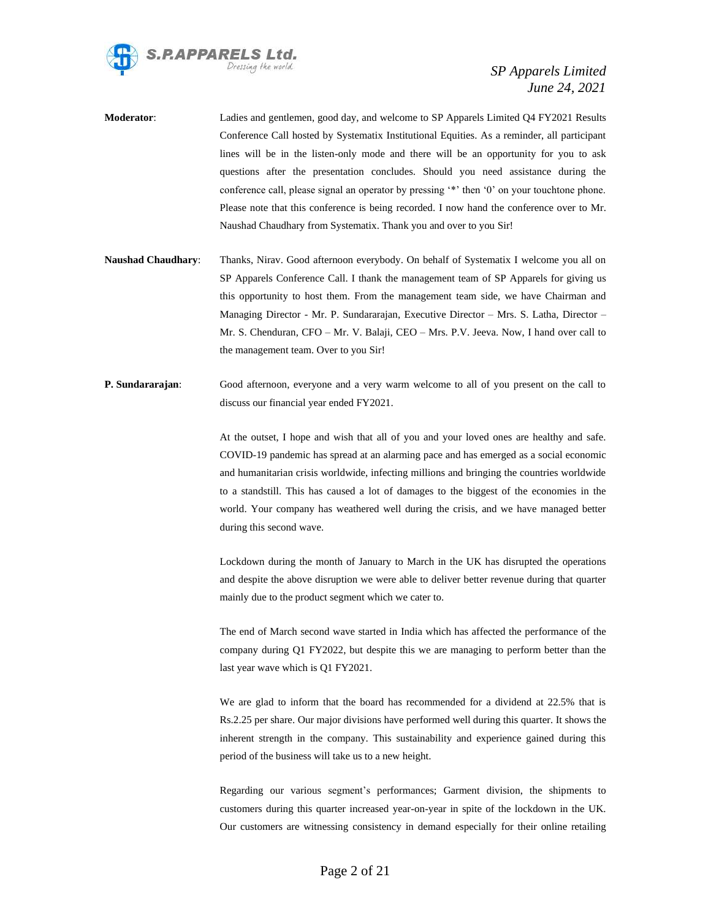

- **Moderator**: Ladies and gentlemen, good day, and welcome to SP Apparels Limited Q4 FY2021 Results Conference Call hosted by Systematix Institutional Equities. As a reminder, all participant lines will be in the listen-only mode and there will be an opportunity for you to ask questions after the presentation concludes. Should you need assistance during the conference call, please signal an operator by pressing '\*' then '0' on your touchtone phone. Please note that this conference is being recorded. I now hand the conference over to Mr. Naushad Chaudhary from Systematix. Thank you and over to you Sir!
- **Naushad Chaudhary**: Thanks, Nirav. Good afternoon everybody. On behalf of Systematix I welcome you all on SP Apparels Conference Call. I thank the management team of SP Apparels for giving us this opportunity to host them. From the management team side, we have Chairman and Managing Director - Mr. P. Sundararajan, Executive Director – Mrs. S. Latha, Director – Mr. S. Chenduran, CFO – Mr. V. Balaji, CEO – Mrs. P.V. Jeeva. Now, I hand over call to the management team. Over to you Sir!
- **P. Sundararajan**: Good afternoon, everyone and a very warm welcome to all of you present on the call to discuss our financial year ended FY2021.

At the outset, I hope and wish that all of you and your loved ones are healthy and safe. COVID-19 pandemic has spread at an alarming pace and has emerged as a social economic and humanitarian crisis worldwide, infecting millions and bringing the countries worldwide to a standstill. This has caused a lot of damages to the biggest of the economies in the world. Your company has weathered well during the crisis, and we have managed better during this second wave.

Lockdown during the month of January to March in the UK has disrupted the operations and despite the above disruption we were able to deliver better revenue during that quarter mainly due to the product segment which we cater to.

The end of March second wave started in India which has affected the performance of the company during Q1 FY2022, but despite this we are managing to perform better than the last year wave which is Q1 FY2021.

We are glad to inform that the board has recommended for a dividend at 22.5% that is Rs.2.25 per share. Our major divisions have performed well during this quarter. It shows the inherent strength in the company. This sustainability and experience gained during this period of the business will take us to a new height.

Regarding our various segment's performances; Garment division, the shipments to customers during this quarter increased year-on-year in spite of the lockdown in the UK. Our customers are witnessing consistency in demand especially for their online retailing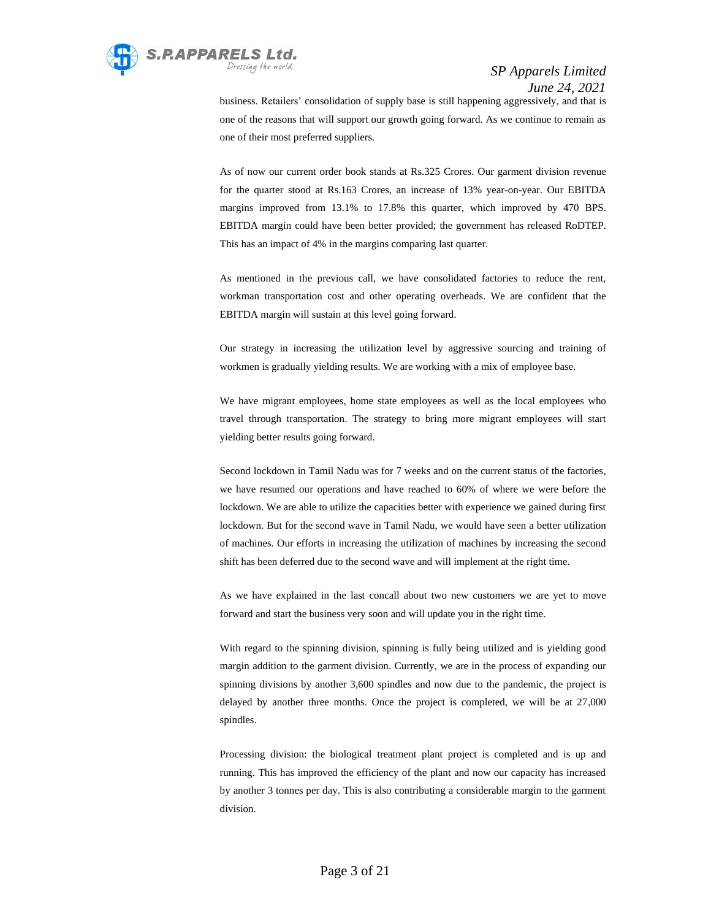

business. Retailers' consolidation of supply base is still happening aggressively, and that is one of the reasons that will support our growth going forward. As we continue to remain as one of their most preferred suppliers.

As of now our current order book stands at Rs.325 Crores. Our garment division revenue for the quarter stood at Rs.163 Crores, an increase of 13% year-on-year. Our EBITDA margins improved from 13.1% to 17.8% this quarter, which improved by 470 BPS. EBITDA margin could have been better provided; the government has released RoDTEP. This has an impact of 4% in the margins comparing last quarter.

As mentioned in the previous call, we have consolidated factories to reduce the rent, workman transportation cost and other operating overheads. We are confident that the EBITDA margin will sustain at this level going forward.

Our strategy in increasing the utilization level by aggressive sourcing and training of workmen is gradually yielding results. We are working with a mix of employee base.

We have migrant employees, home state employees as well as the local employees who travel through transportation. The strategy to bring more migrant employees will start yielding better results going forward.

Second lockdown in Tamil Nadu was for 7 weeks and on the current status of the factories, we have resumed our operations and have reached to 60% of where we were before the lockdown. We are able to utilize the capacities better with experience we gained during first lockdown. But for the second wave in Tamil Nadu, we would have seen a better utilization of machines. Our efforts in increasing the utilization of machines by increasing the second shift has been deferred due to the second wave and will implement at the right time.

As we have explained in the last concall about two new customers we are yet to move forward and start the business very soon and will update you in the right time.

With regard to the spinning division, spinning is fully being utilized and is yielding good margin addition to the garment division. Currently, we are in the process of expanding our spinning divisions by another 3,600 spindles and now due to the pandemic, the project is delayed by another three months. Once the project is completed, we will be at 27,000 spindles.

Processing division: the biological treatment plant project is completed and is up and running. This has improved the efficiency of the plant and now our capacity has increased by another 3 tonnes per day. This is also contributing a considerable margin to the garment division.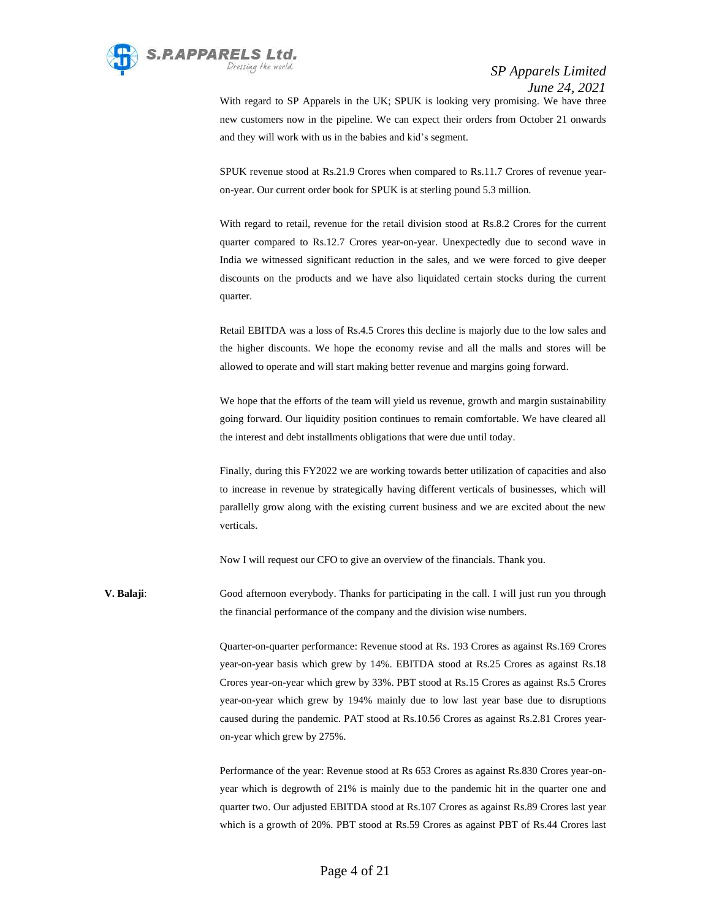

With regard to SP Apparels in the UK; SPUK is looking very promising. We have three new customers now in the pipeline. We can expect their orders from October 21 onwards and they will work with us in the babies and kid's segment.

SPUK revenue stood at Rs.21.9 Crores when compared to Rs.11.7 Crores of revenue yearon-year. Our current order book for SPUK is at sterling pound 5.3 million.

With regard to retail, revenue for the retail division stood at Rs.8.2 Crores for the current quarter compared to Rs.12.7 Crores year-on-year. Unexpectedly due to second wave in India we witnessed significant reduction in the sales, and we were forced to give deeper discounts on the products and we have also liquidated certain stocks during the current quarter.

Retail EBITDA was a loss of Rs.4.5 Crores this decline is majorly due to the low sales and the higher discounts. We hope the economy revise and all the malls and stores will be allowed to operate and will start making better revenue and margins going forward.

We hope that the efforts of the team will yield us revenue, growth and margin sustainability going forward. Our liquidity position continues to remain comfortable. We have cleared all the interest and debt installments obligations that were due until today.

Finally, during this FY2022 we are working towards better utilization of capacities and also to increase in revenue by strategically having different verticals of businesses, which will parallelly grow along with the existing current business and we are excited about the new verticals.

Now I will request our CFO to give an overview of the financials. Thank you.

**V. Balaji**: Good afternoon everybody. Thanks for participating in the call. I will just run you through the financial performance of the company and the division wise numbers.

> Quarter-on-quarter performance: Revenue stood at Rs. 193 Crores as against Rs.169 Crores year-on-year basis which grew by 14%. EBITDA stood at Rs.25 Crores as against Rs.18 Crores year-on-year which grew by 33%. PBT stood at Rs.15 Crores as against Rs.5 Crores year-on-year which grew by 194% mainly due to low last year base due to disruptions caused during the pandemic. PAT stood at Rs.10.56 Crores as against Rs.2.81 Crores yearon-year which grew by 275%.

> Performance of the year: Revenue stood at Rs 653 Crores as against Rs.830 Crores year-onyear which is degrowth of 21% is mainly due to the pandemic hit in the quarter one and quarter two. Our adjusted EBITDA stood at Rs.107 Crores as against Rs.89 Crores last year which is a growth of 20%. PBT stood at Rs.59 Crores as against PBT of Rs.44 Crores last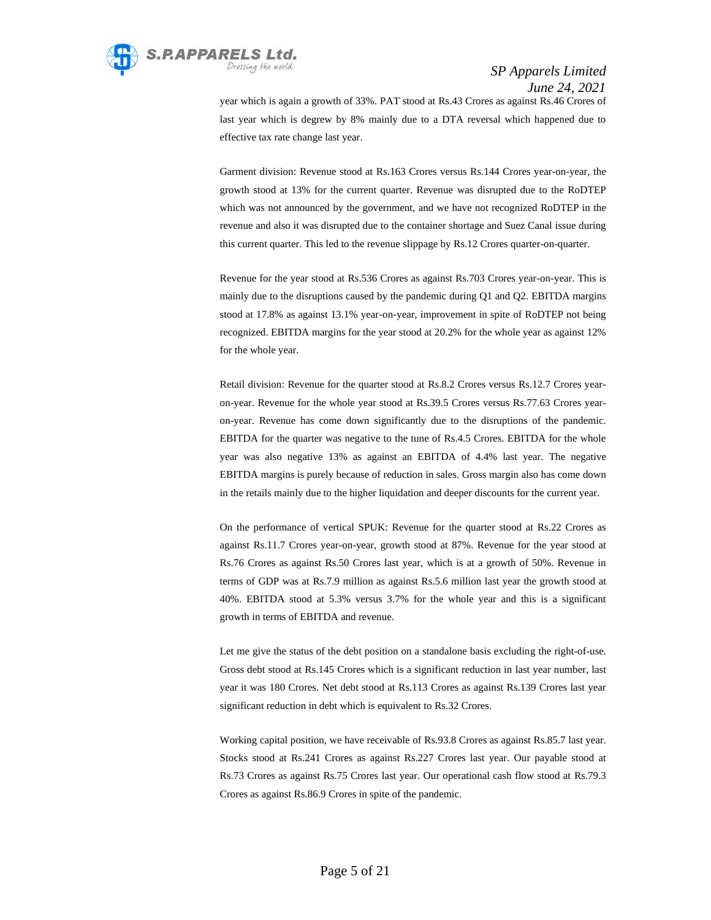

year which is again a growth of 33%. PAT stood at Rs.43 Crores as against Rs.46 Crores of last year which is degrew by 8% mainly due to a DTA reversal which happened due to effective tax rate change last year.

Garment division: Revenue stood at Rs.163 Crores versus Rs.144 Crores year-on-year, the growth stood at 13% for the current quarter. Revenue was disrupted due to the RoDTEP which was not announced by the government, and we have not recognized RoDTEP in the revenue and also it was disrupted due to the container shortage and Suez Canal issue during this current quarter. This led to the revenue slippage by Rs.12 Crores quarter-on-quarter.

Revenue for the year stood at Rs.536 Crores as against Rs.703 Crores year-on-year. This is mainly due to the disruptions caused by the pandemic during Q1 and Q2. EBITDA margins stood at 17.8% as against 13.1% year-on-year, improvement in spite of RoDTEP not being recognized. EBITDA margins for the year stood at 20.2% for the whole year as against 12% for the whole year.

Retail division: Revenue for the quarter stood at Rs.8.2 Crores versus Rs.12.7 Crores yearon-year. Revenue for the whole year stood at Rs.39.5 Crores versus Rs.77.63 Crores yearon-year. Revenue has come down significantly due to the disruptions of the pandemic. EBITDA for the quarter was negative to the tune of Rs.4.5 Crores. EBITDA for the whole year was also negative 13% as against an EBITDA of 4.4% last year. The negative EBITDA margins is purely because of reduction in sales. Gross margin also has come down in the retails mainly due to the higher liquidation and deeper discounts for the current year.

On the performance of vertical SPUK: Revenue for the quarter stood at Rs.22 Crores as against Rs.11.7 Crores year-on-year, growth stood at 87%. Revenue for the year stood at Rs.76 Crores as against Rs.50 Crores last year, which is at a growth of 50%. Revenue in terms of GDP was at Rs.7.9 million as against Rs.5.6 million last year the growth stood at 40%. EBITDA stood at 5.3% versus 3.7% for the whole year and this is a significant growth in terms of EBITDA and revenue.

Let me give the status of the debt position on a standalone basis excluding the right-of-use. Gross debt stood at Rs.145 Crores which is a significant reduction in last year number, last year it was 180 Crores. Net debt stood at Rs.113 Crores as against Rs.139 Crores last year significant reduction in debt which is equivalent to Rs.32 Crores.

Working capital position, we have receivable of Rs.93.8 Crores as against Rs.85.7 last year. Stocks stood at Rs.241 Crores as against Rs.227 Crores last year. Our payable stood at Rs.73 Crores as against Rs.75 Crores last year. Our operational cash flow stood at Rs.79.3 Crores as against Rs.86.9 Crores in spite of the pandemic.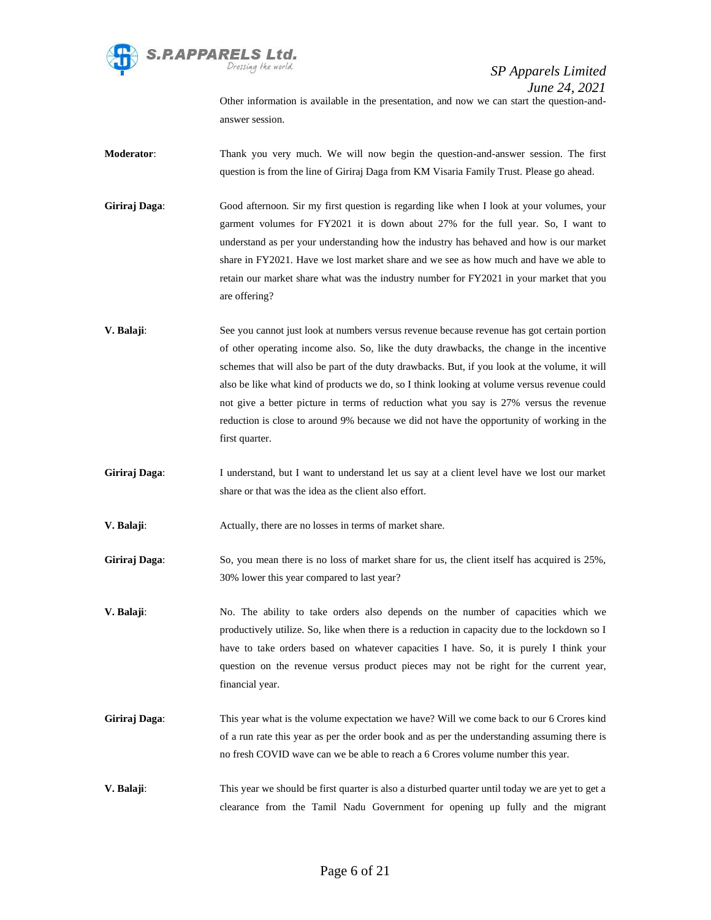

Other information is available in the presentation, and now we can start the question-andanswer session.

**Moderator**: Thank you very much. We will now begin the question-and-answer session. The first question is from the line of Giriraj Daga from KM Visaria Family Trust. Please go ahead.

**Giriraj Daga**: Good afternoon. Sir my first question is regarding like when I look at your volumes, your garment volumes for FY2021 it is down about 27% for the full year. So, I want to understand as per your understanding how the industry has behaved and how is our market share in FY2021. Have we lost market share and we see as how much and have we able to retain our market share what was the industry number for FY2021 in your market that you are offering?

- **V. Balaji**: See you cannot just look at numbers versus revenue because revenue has got certain portion of other operating income also. So, like the duty drawbacks, the change in the incentive schemes that will also be part of the duty drawbacks. But, if you look at the volume, it will also be like what kind of products we do, so I think looking at volume versus revenue could not give a better picture in terms of reduction what you say is 27% versus the revenue reduction is close to around 9% because we did not have the opportunity of working in the first quarter.
- Giriraj Daga: I understand, but I want to understand let us say at a client level have we lost our market share or that was the idea as the client also effort.
- **V. Balaji:** Actually, there are no losses in terms of market share.
- Giriraj Daga: So, you mean there is no loss of market share for us, the client itself has acquired is 25%, 30% lower this year compared to last year?
- **V. Balaji:** No. The ability to take orders also depends on the number of capacities which we productively utilize. So, like when there is a reduction in capacity due to the lockdown so I have to take orders based on whatever capacities I have. So, it is purely I think your question on the revenue versus product pieces may not be right for the current year, financial year.
- **Giriraj Daga**: This year what is the volume expectation we have? Will we come back to our 6 Crores kind of a run rate this year as per the order book and as per the understanding assuming there is no fresh COVID wave can we be able to reach a 6 Crores volume number this year.
- **V. Balaji:** This year we should be first quarter is also a disturbed quarter until today we are yet to get a clearance from the Tamil Nadu Government for opening up fully and the migrant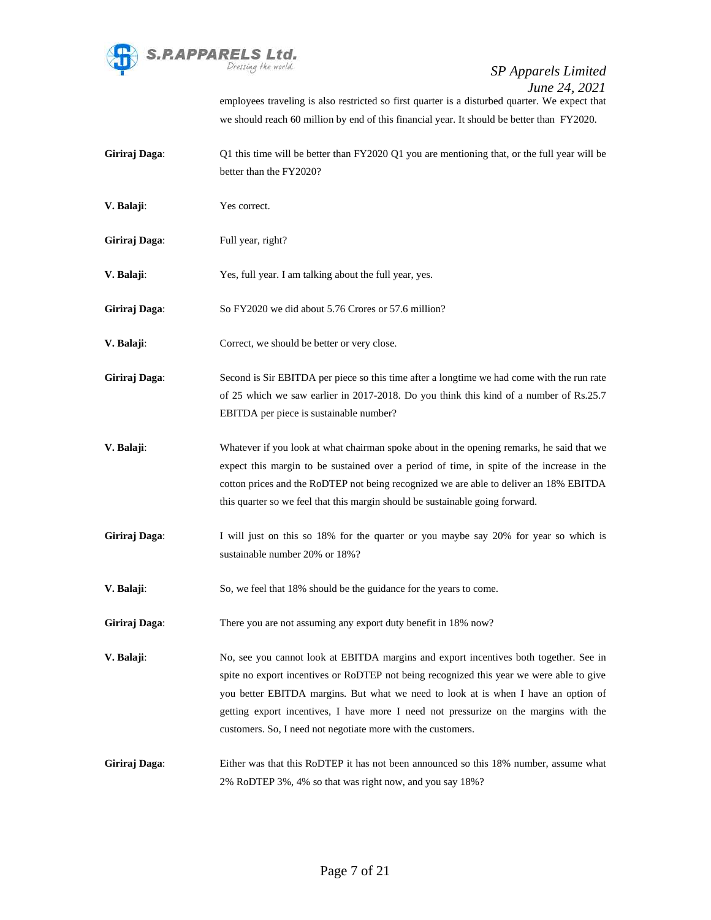

employees traveling is also restricted so first quarter is a disturbed quarter. We expect that we should reach 60 million by end of this financial year. It should be better than FY2020.

- Giriraj Daga: Q1 this time will be better than FY2020 Q1 you are mentioning that, or the full year will be better than the FY2020?
- **V. Balaji**: Yes correct.
- **Giriraj Daga**: Full year, right?

**V. Balaji**: Yes, full year. I am talking about the full year, yes.

Giriraj Daga: So FY2020 we did about 5.76 Crores or 57.6 million?

**V. Balaji**: Correct, we should be better or very close.

**Giriraj Daga**: Second is Sir EBITDA per piece so this time after a longtime we had come with the run rate of 25 which we saw earlier in 2017-2018. Do you think this kind of a number of Rs.25.7 EBITDA per piece is sustainable number?

- **V. Balaji:** Whatever if you look at what chairman spoke about in the opening remarks, he said that we expect this margin to be sustained over a period of time, in spite of the increase in the cotton prices and the RoDTEP not being recognized we are able to deliver an 18% EBITDA this quarter so we feel that this margin should be sustainable going forward.
- **Giriraj Daga**: I will just on this so 18% for the quarter or you maybe say 20% for year so which is sustainable number 20% or 18%?
- **V. Balaji:** So, we feel that 18% should be the guidance for the years to come.

**Giriraj Daga:** There you are not assuming any export duty benefit in 18% now?

**V. Balaji**: No, see you cannot look at EBITDA margins and export incentives both together. See in spite no export incentives or RoDTEP not being recognized this year we were able to give you better EBITDA margins. But what we need to look at is when I have an option of getting export incentives, I have more I need not pressurize on the margins with the customers. So, I need not negotiate more with the customers.

**Giriraj Daga**: Either was that this RoDTEP it has not been announced so this 18% number, assume what 2% RoDTEP 3%, 4% so that was right now, and you say 18%?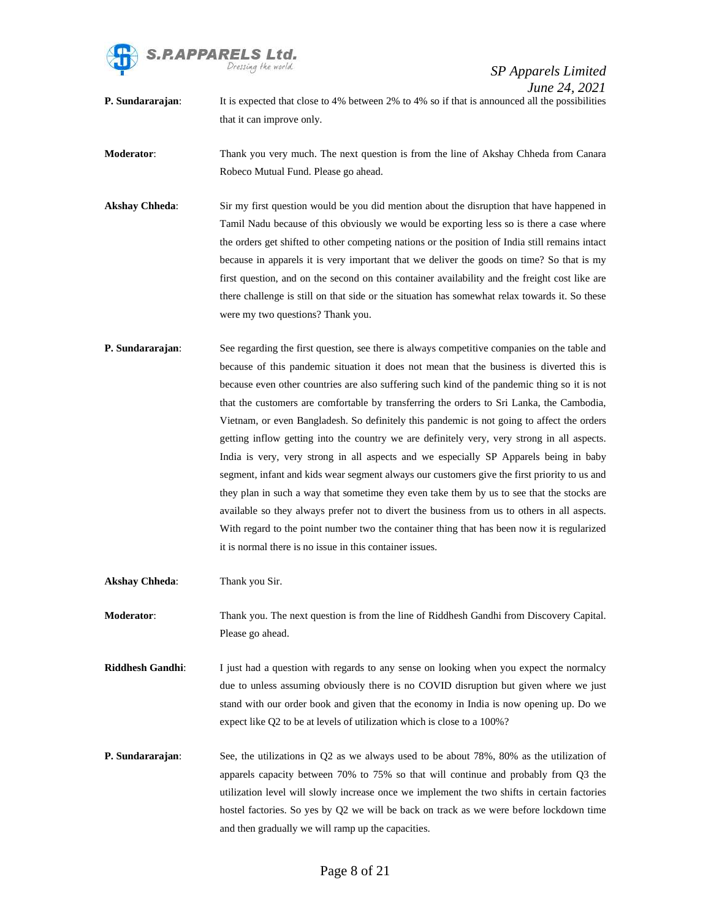

**P. Sundararajan:** It is expected that close to 4% between 2% to 4% so if that is announced all the possibilities that it can improve only.

**Moderator**: Thank you very much. The next question is from the line of Akshay Chheda from Canara Robeco Mutual Fund. Please go ahead.

**Akshay Chheda:** Sir my first question would be you did mention about the disruption that have happened in Tamil Nadu because of this obviously we would be exporting less so is there a case where the orders get shifted to other competing nations or the position of India still remains intact because in apparels it is very important that we deliver the goods on time? So that is my first question, and on the second on this container availability and the freight cost like are there challenge is still on that side or the situation has somewhat relax towards it. So these were my two questions? Thank you.

**P. Sundararajan:** See regarding the first question, see there is always competitive companies on the table and because of this pandemic situation it does not mean that the business is diverted this is because even other countries are also suffering such kind of the pandemic thing so it is not that the customers are comfortable by transferring the orders to Sri Lanka, the Cambodia, Vietnam, or even Bangladesh. So definitely this pandemic is not going to affect the orders getting inflow getting into the country we are definitely very, very strong in all aspects. India is very, very strong in all aspects and we especially SP Apparels being in baby segment, infant and kids wear segment always our customers give the first priority to us and they plan in such a way that sometime they even take them by us to see that the stocks are available so they always prefer not to divert the business from us to others in all aspects. With regard to the point number two the container thing that has been now it is regularized it is normal there is no issue in this container issues.

**Akshay Chheda**: Thank you Sir.

**Moderator**: Thank you. The next question is from the line of Riddhesh Gandhi from Discovery Capital. Please go ahead.

**Riddhesh Gandhi:** I just had a question with regards to any sense on looking when you expect the normalcy due to unless assuming obviously there is no COVID disruption but given where we just stand with our order book and given that the economy in India is now opening up. Do we expect like Q2 to be at levels of utilization which is close to a 100%?

**P. Sundararajan**: See, the utilizations in Q2 as we always used to be about 78%, 80% as the utilization of apparels capacity between 70% to 75% so that will continue and probably from Q3 the utilization level will slowly increase once we implement the two shifts in certain factories hostel factories. So yes by Q2 we will be back on track as we were before lockdown time and then gradually we will ramp up the capacities.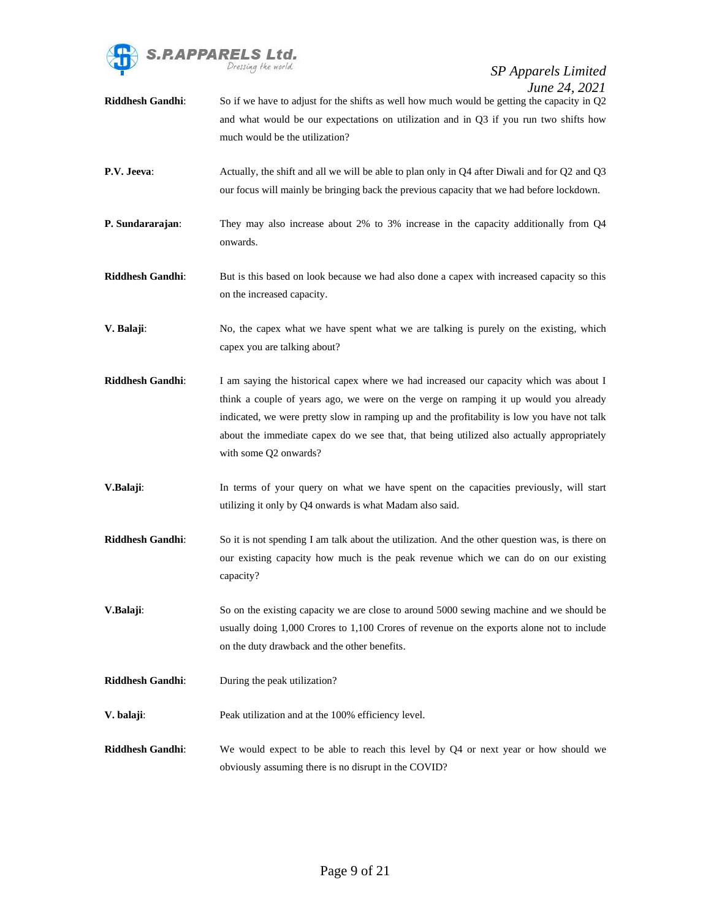

**Riddhesh Gandhi**: So if we have to adjust for the shifts as well how much would be getting the capacity in Q2 and what would be our expectations on utilization and in Q3 if you run two shifts how much would be the utilization? **P.V. Jeeva**: Actually, the shift and all we will be able to plan only in Q4 after Diwali and for Q2 and Q3 our focus will mainly be bringing back the previous capacity that we had before lockdown. **P. Sundararajan**: They may also increase about 2% to 3% increase in the capacity additionally from Q4 onwards. **Riddhesh Gandhi:** But is this based on look because we had also done a capex with increased capacity so this on the increased capacity. **V. Balaji:** No, the capex what we have spent what we are talking is purely on the existing, which capex you are talking about? **Riddhesh Gandhi**: I am saying the historical capex where we had increased our capacity which was about I think a couple of years ago, we were on the verge on ramping it up would you already indicated, we were pretty slow in ramping up and the profitability is low you have not talk about the immediate capex do we see that, that being utilized also actually appropriately with some Q2 onwards? **V.Balaji:** In terms of your query on what we have spent on the capacities previously, will start utilizing it only by Q4 onwards is what Madam also said. **Riddhesh Gandhi**: So it is not spending I am talk about the utilization. And the other question was, is there on our existing capacity how much is the peak revenue which we can do on our existing capacity? **V.Balaji:** So on the existing capacity we are close to around 5000 sewing machine and we should be usually doing 1,000 Crores to 1,100 Crores of revenue on the exports alone not to include on the duty drawback and the other benefits. **Riddhesh Gandhi**: During the peak utilization? **V. balaji**: Peak utilization and at the 100% efficiency level. **Riddhesh Gandhi**: We would expect to be able to reach this level by Q4 or next year or how should we obviously assuming there is no disrupt in the COVID?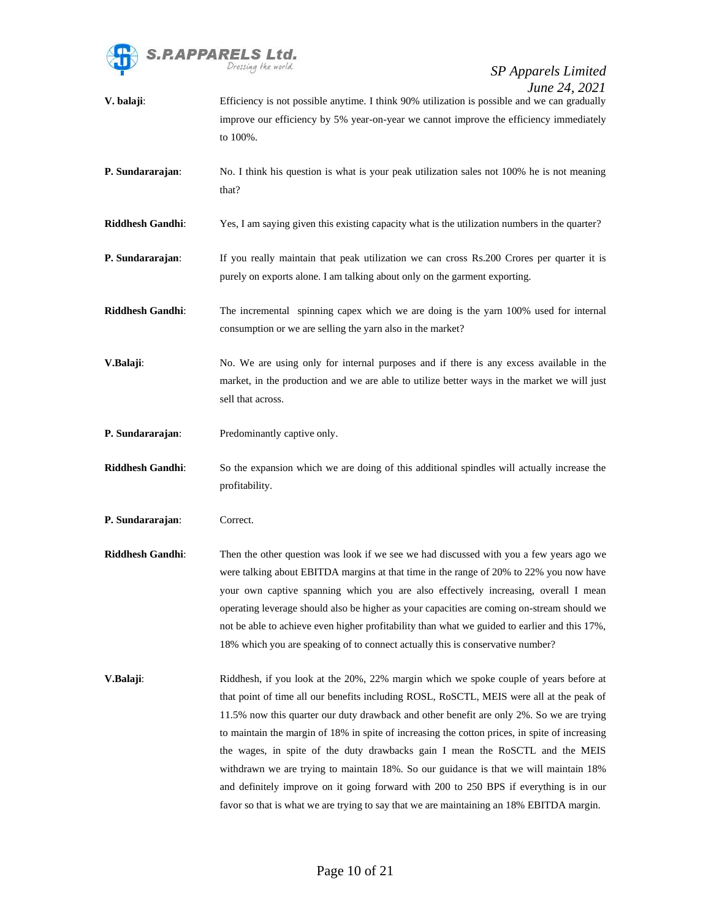

| V. balaji:              | June $24, 2021$<br>Efficiency is not possible anytime. I think 90% utilization is possible and we can gradually<br>improve our efficiency by 5% year-on-year we cannot improve the efficiency immediately<br>to 100%.                                                                                                                                                                                                                                                                                                                                                                                                                                                                                                                           |
|-------------------------|-------------------------------------------------------------------------------------------------------------------------------------------------------------------------------------------------------------------------------------------------------------------------------------------------------------------------------------------------------------------------------------------------------------------------------------------------------------------------------------------------------------------------------------------------------------------------------------------------------------------------------------------------------------------------------------------------------------------------------------------------|
| P. Sundararajan:        | No. I think his question is what is your peak utilization sales not 100% he is not meaning<br>that?                                                                                                                                                                                                                                                                                                                                                                                                                                                                                                                                                                                                                                             |
| <b>Riddhesh Gandhi:</b> | Yes, I am saying given this existing capacity what is the utilization numbers in the quarter?                                                                                                                                                                                                                                                                                                                                                                                                                                                                                                                                                                                                                                                   |
| P. Sundararajan:        | If you really maintain that peak utilization we can cross Rs.200 Crores per quarter it is<br>purely on exports alone. I am talking about only on the garment exporting.                                                                                                                                                                                                                                                                                                                                                                                                                                                                                                                                                                         |
| <b>Riddhesh Gandhi:</b> | The incremental spinning capex which we are doing is the yarn 100% used for internal<br>consumption or we are selling the yarn also in the market?                                                                                                                                                                                                                                                                                                                                                                                                                                                                                                                                                                                              |
| V.Balaji:               | No. We are using only for internal purposes and if there is any excess available in the<br>market, in the production and we are able to utilize better ways in the market we will just<br>sell that across.                                                                                                                                                                                                                                                                                                                                                                                                                                                                                                                                     |
| P. Sundararajan:        | Predominantly captive only.                                                                                                                                                                                                                                                                                                                                                                                                                                                                                                                                                                                                                                                                                                                     |
| Riddhesh Gandhi:        | So the expansion which we are doing of this additional spindles will actually increase the<br>profitability.                                                                                                                                                                                                                                                                                                                                                                                                                                                                                                                                                                                                                                    |
| P. Sundararajan:        | Correct.                                                                                                                                                                                                                                                                                                                                                                                                                                                                                                                                                                                                                                                                                                                                        |
| Riddhesh Gandhi:        | Then the other question was look if we see we had discussed with you a few years ago we<br>were talking about EBITDA margins at that time in the range of 20% to 22% you now have<br>your own captive spanning which you are also effectively increasing, overall I mean<br>operating leverage should also be higher as your capacities are coming on-stream should we<br>not be able to achieve even higher profitability than what we guided to earlier and this 17%,<br>18% which you are speaking of to connect actually this is conservative number?                                                                                                                                                                                       |
| V.Balaji:               | Riddhesh, if you look at the 20%, 22% margin which we spoke couple of years before at<br>that point of time all our benefits including ROSL, RoSCTL, MEIS were all at the peak of<br>11.5% now this quarter our duty drawback and other benefit are only 2%. So we are trying<br>to maintain the margin of 18% in spite of increasing the cotton prices, in spite of increasing<br>the wages, in spite of the duty drawbacks gain I mean the RoSCTL and the MEIS<br>withdrawn we are trying to maintain 18%. So our guidance is that we will maintain 18%<br>and definitely improve on it going forward with 200 to 250 BPS if everything is in our<br>favor so that is what we are trying to say that we are maintaining an 18% EBITDA margin. |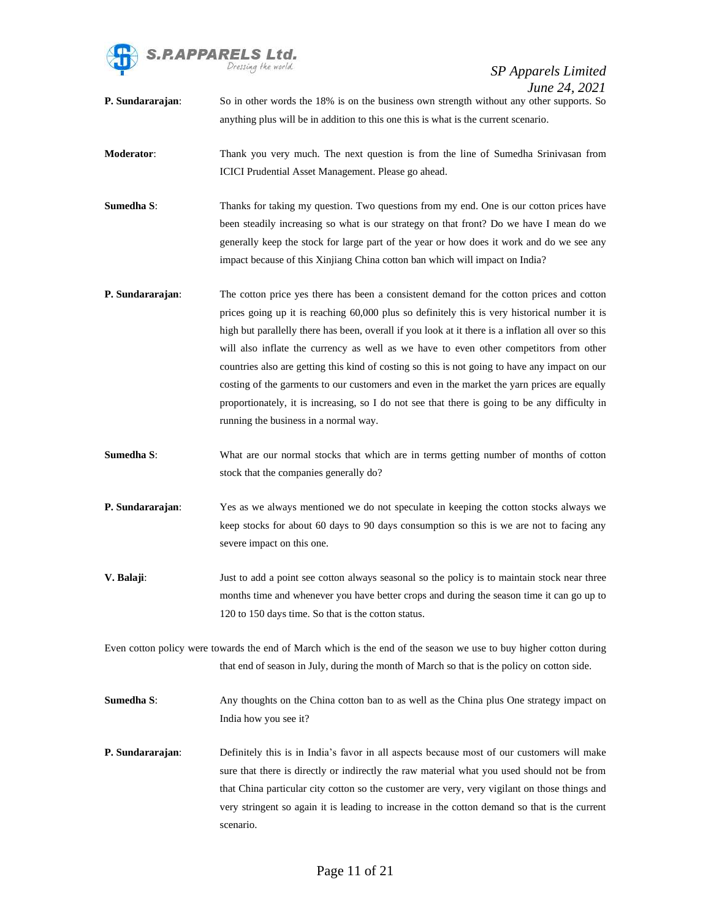

- **P. Sundararajan:** So in other words the 18% is on the business own strength without any other supports. So anything plus will be in addition to this one this is what is the current scenario.
- **Moderator**: Thank you very much. The next question is from the line of Sumedha Srinivasan from ICICI Prudential Asset Management. Please go ahead.
- **Sumedha S:** Thanks for taking my question. Two questions from my end. One is our cotton prices have been steadily increasing so what is our strategy on that front? Do we have I mean do we generally keep the stock for large part of the year or how does it work and do we see any impact because of this Xinjiang China cotton ban which will impact on India?
- **P. Sundararajan**: The cotton price yes there has been a consistent demand for the cotton prices and cotton prices going up it is reaching 60,000 plus so definitely this is very historical number it is high but parallelly there has been, overall if you look at it there is a inflation all over so this will also inflate the currency as well as we have to even other competitors from other countries also are getting this kind of costing so this is not going to have any impact on our costing of the garments to our customers and even in the market the yarn prices are equally proportionately, it is increasing, so I do not see that there is going to be any difficulty in running the business in a normal way.
- **Sumedha S**: What are our normal stocks that which are in terms getting number of months of cotton stock that the companies generally do?
- **P. Sundararajan:** Yes as we always mentioned we do not speculate in keeping the cotton stocks always we keep stocks for about 60 days to 90 days consumption so this is we are not to facing any severe impact on this one.
- **V. Balaji:** Just to add a point see cotton always seasonal so the policy is to maintain stock near three months time and whenever you have better crops and during the season time it can go up to 120 to 150 days time. So that is the cotton status.
- Even cotton policy were towards the end of March which is the end of the season we use to buy higher cotton during that end of season in July, during the month of March so that is the policy on cotton side.
- **Sumedha S:** Any thoughts on the China cotton ban to as well as the China plus One strategy impact on India how you see it?
- **P. Sundararajan**: Definitely this is in India's favor in all aspects because most of our customers will make sure that there is directly or indirectly the raw material what you used should not be from that China particular city cotton so the customer are very, very vigilant on those things and very stringent so again it is leading to increase in the cotton demand so that is the current scenario.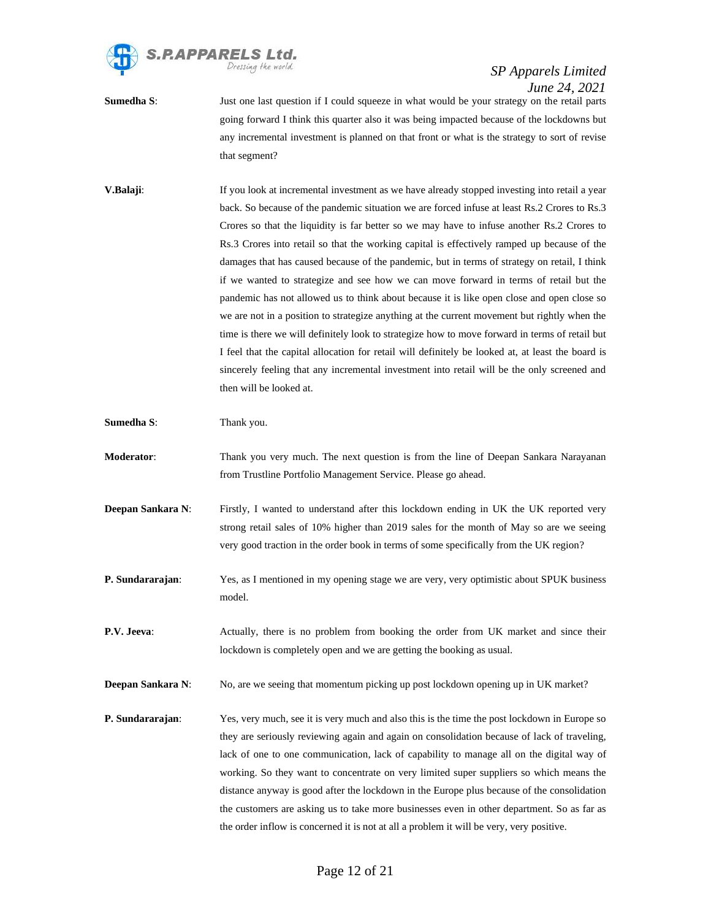

**Sumedha S:** Just one last question if I could squeeze in what would be your strategy on the retail parts going forward I think this quarter also it was being impacted because of the lockdowns but any incremental investment is planned on that front or what is the strategy to sort of revise that segment?

- **V.Balaji:** If you look at incremental investment as we have already stopped investing into retail a year back. So because of the pandemic situation we are forced infuse at least Rs.2 Crores to Rs.3 Crores so that the liquidity is far better so we may have to infuse another Rs.2 Crores to Rs.3 Crores into retail so that the working capital is effectively ramped up because of the damages that has caused because of the pandemic, but in terms of strategy on retail, I think if we wanted to strategize and see how we can move forward in terms of retail but the pandemic has not allowed us to think about because it is like open close and open close so we are not in a position to strategize anything at the current movement but rightly when the time is there we will definitely look to strategize how to move forward in terms of retail but I feel that the capital allocation for retail will definitely be looked at, at least the board is sincerely feeling that any incremental investment into retail will be the only screened and then will be looked at.
- **Sumedha S**: Thank you.
- **Moderator:** Thank you very much. The next question is from the line of Deepan Sankara Narayanan from Trustline Portfolio Management Service. Please go ahead.
- **Deepan Sankara N:** Firstly, I wanted to understand after this lockdown ending in UK the UK reported very strong retail sales of 10% higher than 2019 sales for the month of May so are we seeing very good traction in the order book in terms of some specifically from the UK region?
- **P. Sundararajan**: Yes, as I mentioned in my opening stage we are very, very optimistic about SPUK business model.
- **P.V. Jeeva**: Actually, there is no problem from booking the order from UK market and since their lockdown is completely open and we are getting the booking as usual.
- **Deepan Sankara N:** No, are we seeing that momentum picking up post lockdown opening up in UK market?
- **P. Sundararajan**: Yes, very much, see it is very much and also this is the time the post lockdown in Europe so they are seriously reviewing again and again on consolidation because of lack of traveling, lack of one to one communication, lack of capability to manage all on the digital way of working. So they want to concentrate on very limited super suppliers so which means the distance anyway is good after the lockdown in the Europe plus because of the consolidation the customers are asking us to take more businesses even in other department. So as far as the order inflow is concerned it is not at all a problem it will be very, very positive.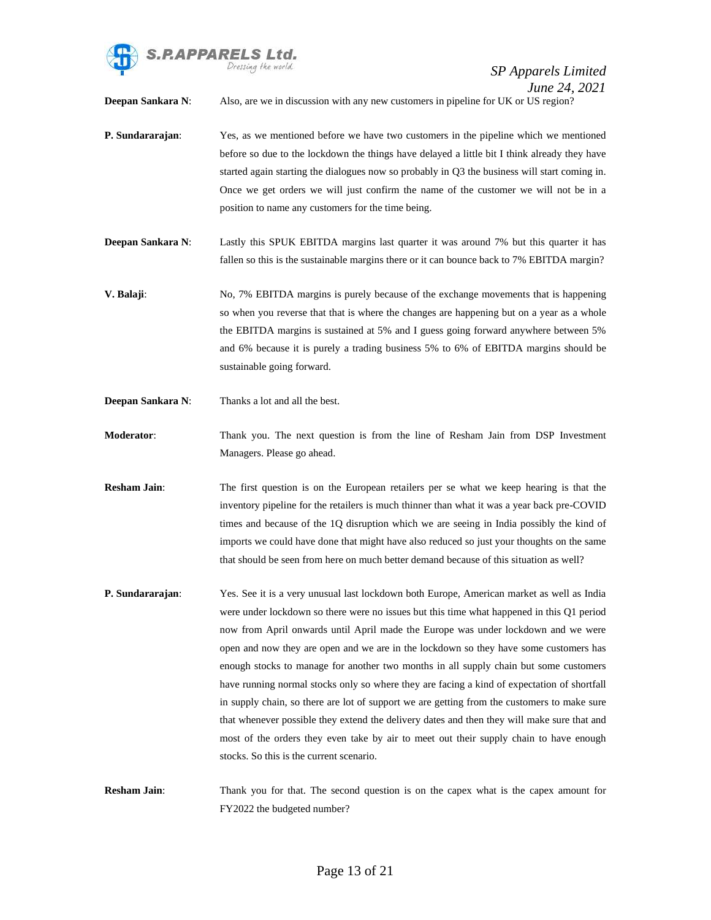

**Deepan Sankara N:** Also, are we in discussion with any new customers in pipeline for UK or US region?

- **P. Sundararajan**: Yes, as we mentioned before we have two customers in the pipeline which we mentioned before so due to the lockdown the things have delayed a little bit I think already they have started again starting the dialogues now so probably in Q3 the business will start coming in. Once we get orders we will just confirm the name of the customer we will not be in a position to name any customers for the time being.
- **Deepan Sankara N:** Lastly this SPUK EBITDA margins last quarter it was around 7% but this quarter it has fallen so this is the sustainable margins there or it can bounce back to 7% EBITDA margin?
- **V. Balaji**: No, 7% EBITDA margins is purely because of the exchange movements that is happening so when you reverse that that is where the changes are happening but on a year as a whole the EBITDA margins is sustained at 5% and I guess going forward anywhere between 5% and 6% because it is purely a trading business 5% to 6% of EBITDA margins should be sustainable going forward.
- **Deepan Sankara N**: Thanks a lot and all the best.
- **Moderator**: Thank you. The next question is from the line of Resham Jain from DSP Investment Managers. Please go ahead.
- **Resham Jain:** The first question is on the European retailers per se what we keep hearing is that the inventory pipeline for the retailers is much thinner than what it was a year back pre-COVID times and because of the 1Q disruption which we are seeing in India possibly the kind of imports we could have done that might have also reduced so just your thoughts on the same that should be seen from here on much better demand because of this situation as well?
- **P. Sundararajan**: Yes. See it is a very unusual last lockdown both Europe, American market as well as India were under lockdown so there were no issues but this time what happened in this Q1 period now from April onwards until April made the Europe was under lockdown and we were open and now they are open and we are in the lockdown so they have some customers has enough stocks to manage for another two months in all supply chain but some customers have running normal stocks only so where they are facing a kind of expectation of shortfall in supply chain, so there are lot of support we are getting from the customers to make sure that whenever possible they extend the delivery dates and then they will make sure that and most of the orders they even take by air to meet out their supply chain to have enough stocks. So this is the current scenario.
- **Resham Jain:** Thank you for that. The second question is on the capex what is the capex amount for FY2022 the budgeted number?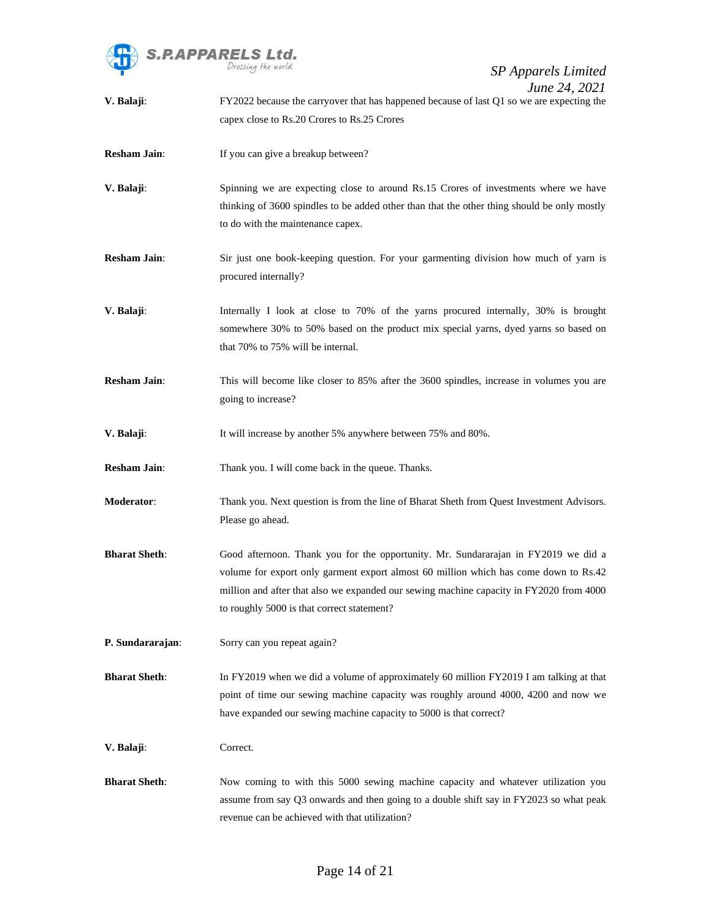

| V. Balaji:           | June 24, $2021$<br>FY2022 because the carryover that has happened because of last Q1 so we are expecting the<br>capex close to Rs.20 Crores to Rs.25 Crores                                                                                                                                                         |
|----------------------|---------------------------------------------------------------------------------------------------------------------------------------------------------------------------------------------------------------------------------------------------------------------------------------------------------------------|
| <b>Resham Jain:</b>  | If you can give a breakup between?                                                                                                                                                                                                                                                                                  |
| V. Balaji:           | Spinning we are expecting close to around Rs.15 Crores of investments where we have<br>thinking of 3600 spindles to be added other than that the other thing should be only mostly<br>to do with the maintenance capex.                                                                                             |
| <b>Resham Jain:</b>  | Sir just one book-keeping question. For your garmenting division how much of yarn is<br>procured internally?                                                                                                                                                                                                        |
| V. Balaji:           | Internally I look at close to 70% of the yarns procured internally, 30% is brought<br>somewhere 30% to 50% based on the product mix special yarns, dyed yarns so based on<br>that 70% to 75% will be internal.                                                                                                      |
| <b>Resham Jain:</b>  | This will become like closer to 85% after the 3600 spindles, increase in volumes you are<br>going to increase?                                                                                                                                                                                                      |
| V. Balaji:           | It will increase by another 5% anywhere between 75% and 80%.                                                                                                                                                                                                                                                        |
| <b>Resham Jain:</b>  | Thank you. I will come back in the queue. Thanks.                                                                                                                                                                                                                                                                   |
| Moderator:           | Thank you. Next question is from the line of Bharat Sheth from Quest Investment Advisors.<br>Please go ahead.                                                                                                                                                                                                       |
| <b>Bharat Sheth:</b> | Good afternoon. Thank you for the opportunity. Mr. Sundararajan in FY2019 we did a<br>volume for export only garment export almost 60 million which has come down to Rs.42<br>million and after that also we expanded our sewing machine capacity in FY2020 from 4000<br>to roughly 5000 is that correct statement? |
| P. Sundararajan:     | Sorry can you repeat again?                                                                                                                                                                                                                                                                                         |
| <b>Bharat Sheth:</b> | In FY2019 when we did a volume of approximately 60 million FY2019 I am talking at that<br>point of time our sewing machine capacity was roughly around 4000, 4200 and now we<br>have expanded our sewing machine capacity to 5000 is that correct?                                                                  |
| V. Balaji:           | Correct.                                                                                                                                                                                                                                                                                                            |
| <b>Bharat Sheth:</b> | Now coming to with this 5000 sewing machine capacity and whatever utilization you<br>assume from say Q3 onwards and then going to a double shift say in FY2023 so what peak<br>revenue can be achieved with that utilization?                                                                                       |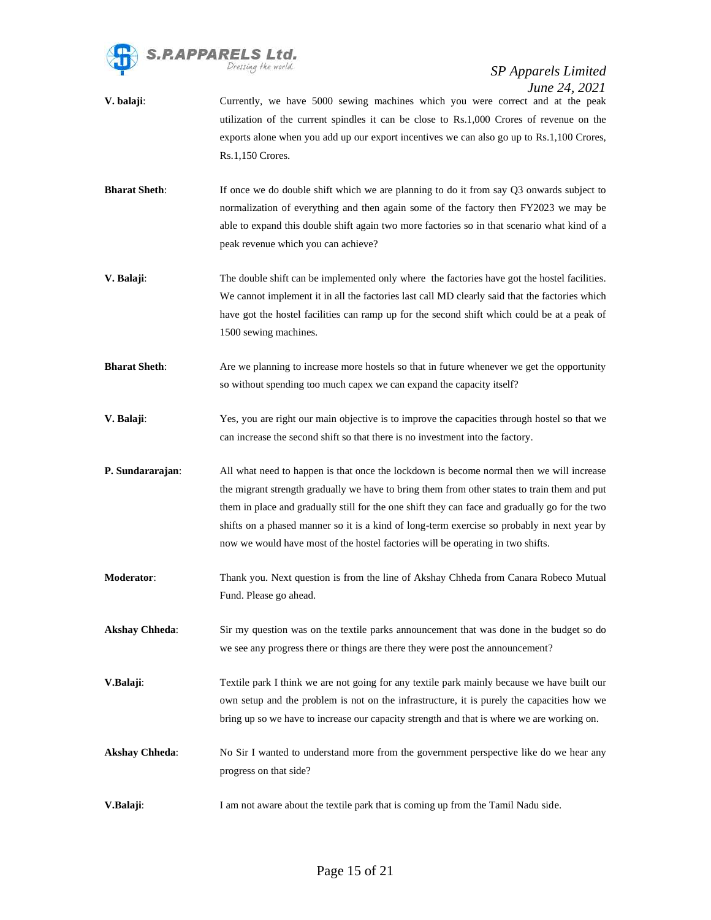

- **V. balaji**: Currently, we have 5000 sewing machines which you were correct and at the peak utilization of the current spindles it can be close to Rs.1,000 Crores of revenue on the exports alone when you add up our export incentives we can also go up to Rs.1,100 Crores, Rs.1,150 Crores.
- **Bharat Sheth**: If once we do double shift which we are planning to do it from say Q3 onwards subject to normalization of everything and then again some of the factory then FY2023 we may be able to expand this double shift again two more factories so in that scenario what kind of a peak revenue which you can achieve?
- **V. Balaji:** The double shift can be implemented only where the factories have got the hostel facilities. We cannot implement it in all the factories last call MD clearly said that the factories which have got the hostel facilities can ramp up for the second shift which could be at a peak of 1500 sewing machines.
- **Bharat Sheth**: Are we planning to increase more hostels so that in future whenever we get the opportunity so without spending too much capex we can expand the capacity itself?
- **V. Balaji:** Yes, you are right our main objective is to improve the capacities through hostel so that we can increase the second shift so that there is no investment into the factory.
- **P. Sundararajan:** All what need to happen is that once the lockdown is become normal then we will increase the migrant strength gradually we have to bring them from other states to train them and put them in place and gradually still for the one shift they can face and gradually go for the two shifts on a phased manner so it is a kind of long-term exercise so probably in next year by now we would have most of the hostel factories will be operating in two shifts.
- **Moderator**: Thank you. Next question is from the line of Akshay Chheda from Canara Robeco Mutual Fund. Please go ahead.
- **Akshay Chheda:** Sir my question was on the textile parks announcement that was done in the budget so do we see any progress there or things are there they were post the announcement?
- **V.Balaji:** Textile park I think we are not going for any textile park mainly because we have built our own setup and the problem is not on the infrastructure, it is purely the capacities how we bring up so we have to increase our capacity strength and that is where we are working on.
- **Akshay Chheda**: No Sir I wanted to understand more from the government perspective like do we hear any progress on that side?
- **V.Balaji:** I am not aware about the textile park that is coming up from the Tamil Nadu side.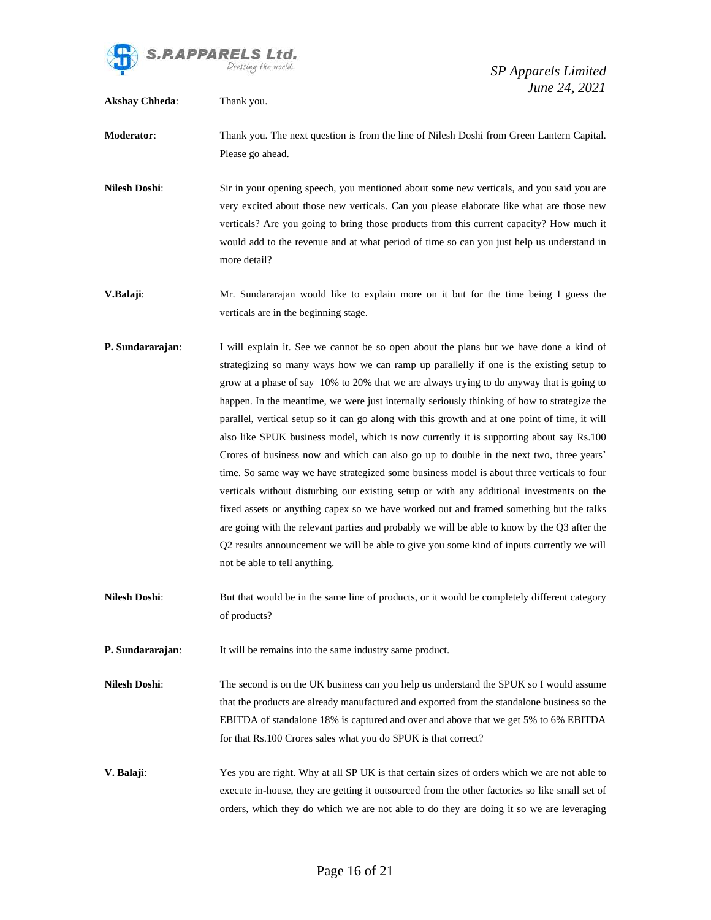

**Akshay Chheda**: Thank you.

*SP Apparels Limited June 24, 2021*

**Moderator**: Thank you. The next question is from the line of Nilesh Doshi from Green Lantern Capital. Please go ahead.

**Nilesh Doshi**: Sir in your opening speech, you mentioned about some new verticals, and you said you are very excited about those new verticals. Can you please elaborate like what are those new verticals? Are you going to bring those products from this current capacity? How much it would add to the revenue and at what period of time so can you just help us understand in more detail?

**V.Balaji**: Mr. Sundararajan would like to explain more on it but for the time being I guess the verticals are in the beginning stage.

- **P. Sundararajan:** I will explain it. See we cannot be so open about the plans but we have done a kind of strategizing so many ways how we can ramp up parallelly if one is the existing setup to grow at a phase of say 10% to 20% that we are always trying to do anyway that is going to happen. In the meantime, we were just internally seriously thinking of how to strategize the parallel, vertical setup so it can go along with this growth and at one point of time, it will also like SPUK business model, which is now currently it is supporting about say Rs.100 Crores of business now and which can also go up to double in the next two, three years' time. So same way we have strategized some business model is about three verticals to four verticals without disturbing our existing setup or with any additional investments on the fixed assets or anything capex so we have worked out and framed something but the talks are going with the relevant parties and probably we will be able to know by the Q3 after the Q2 results announcement we will be able to give you some kind of inputs currently we will not be able to tell anything.
- **Nilesh Doshi**: But that would be in the same line of products, or it would be completely different category of products?

**P. Sundararajan:** It will be remains into the same industry same product.

**Nilesh Doshi:** The second is on the UK business can you help us understand the SPUK so I would assume that the products are already manufactured and exported from the standalone business so the EBITDA of standalone 18% is captured and over and above that we get 5% to 6% EBITDA for that Rs.100 Crores sales what you do SPUK is that correct?

**V. Balaji**: Yes you are right. Why at all SP UK is that certain sizes of orders which we are not able to execute in-house, they are getting it outsourced from the other factories so like small set of orders, which they do which we are not able to do they are doing it so we are leveraging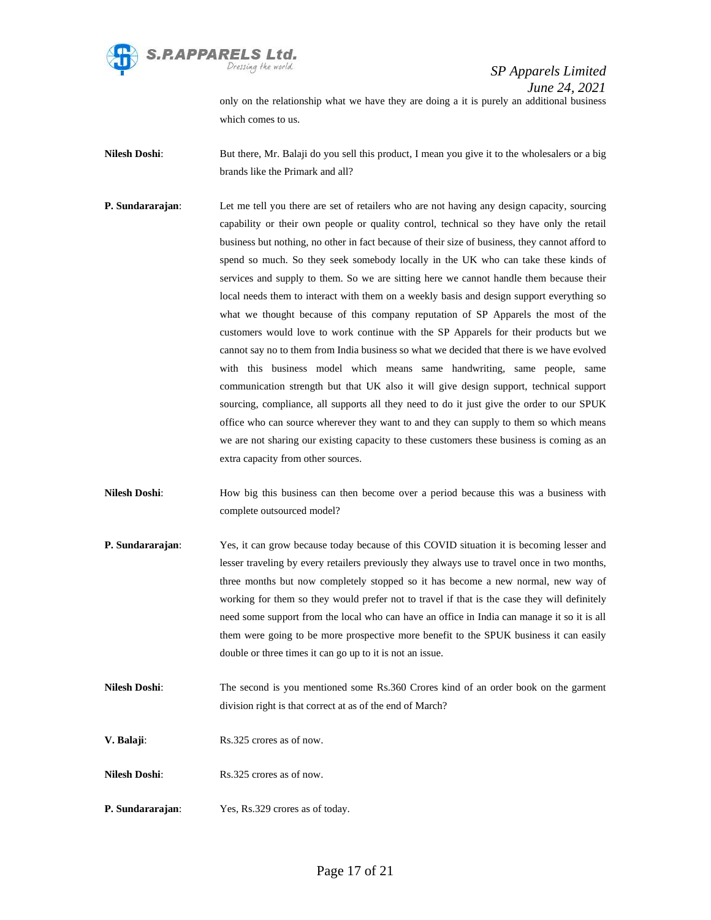

only on the relationship what we have they are doing a it is purely an additional business which comes to us.

**Nilesh Doshi:** But there, Mr. Balaji do you sell this product, I mean you give it to the wholesalers or a big brands like the Primark and all?

- **P. Sundararajan:** Let me tell you there are set of retailers who are not having any design capacity, sourcing capability or their own people or quality control, technical so they have only the retail business but nothing, no other in fact because of their size of business, they cannot afford to spend so much. So they seek somebody locally in the UK who can take these kinds of services and supply to them. So we are sitting here we cannot handle them because their local needs them to interact with them on a weekly basis and design support everything so what we thought because of this company reputation of SP Apparels the most of the customers would love to work continue with the SP Apparels for their products but we cannot say no to them from India business so what we decided that there is we have evolved with this business model which means same handwriting, same people, same communication strength but that UK also it will give design support, technical support sourcing, compliance, all supports all they need to do it just give the order to our SPUK office who can source wherever they want to and they can supply to them so which means we are not sharing our existing capacity to these customers these business is coming as an extra capacity from other sources.
- **Nilesh Doshi:** How big this business can then become over a period because this was a business with complete outsourced model?
- **P. Sundararajan:** Yes, it can grow because today because of this COVID situation it is becoming lesser and lesser traveling by every retailers previously they always use to travel once in two months, three months but now completely stopped so it has become a new normal, new way of working for them so they would prefer not to travel if that is the case they will definitely need some support from the local who can have an office in India can manage it so it is all them were going to be more prospective more benefit to the SPUK business it can easily double or three times it can go up to it is not an issue.
- **Nilesh Doshi:** The second is you mentioned some Rs.360 Crores kind of an order book on the garment division right is that correct at as of the end of March?
- **V. Balaji**: Rs.325 crores as of now.
- **Nilesh Doshi:** Rs.325 crores as of now.
- **P. Sundararajan**: Yes, Rs.329 crores as of today.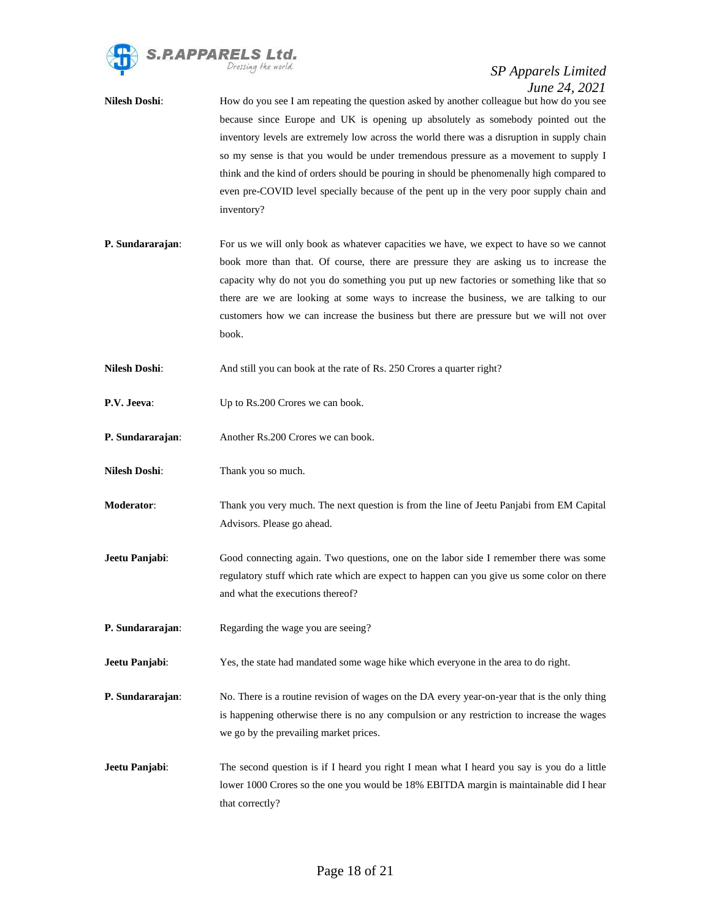

- **Nilesh Doshi:** How do you see I am repeating the question asked by another colleague but how do you see because since Europe and UK is opening up absolutely as somebody pointed out the inventory levels are extremely low across the world there was a disruption in supply chain so my sense is that you would be under tremendous pressure as a movement to supply I think and the kind of orders should be pouring in should be phenomenally high compared to even pre-COVID level specially because of the pent up in the very poor supply chain and inventory?
- **P. Sundararajan:** For us we will only book as whatever capacities we have, we expect to have so we cannot book more than that. Of course, there are pressure they are asking us to increase the capacity why do not you do something you put up new factories or something like that so there are we are looking at some ways to increase the business, we are talking to our customers how we can increase the business but there are pressure but we will not over book.
- **Nilesh Doshi:** And still you can book at the rate of Rs. 250 Crores a quarter right?
- **P.V. Jeeva:** Up to Rs.200 Crores we can book.
- **P. Sundararajan**: Another Rs.200 Crores we can book.
- **Nilesh Doshi**: Thank you so much.
- **Moderator**: Thank you very much. The next question is from the line of Jeetu Panjabi from EM Capital Advisors. Please go ahead.
- **Jeetu Panjabi**: Good connecting again. Two questions, one on the labor side I remember there was some regulatory stuff which rate which are expect to happen can you give us some color on there and what the executions thereof?
- **P. Sundararajan:** Regarding the wage you are seeing?
- **Jeetu Panjabi**: Yes, the state had mandated some wage hike which everyone in the area to do right.
- **P. Sundararajan:** No. There is a routine revision of wages on the DA every year-on-year that is the only thing is happening otherwise there is no any compulsion or any restriction to increase the wages we go by the prevailing market prices.
- **Jeetu Panjabi**: The second question is if I heard you right I mean what I heard you say is you do a little lower 1000 Crores so the one you would be 18% EBITDA margin is maintainable did I hear that correctly?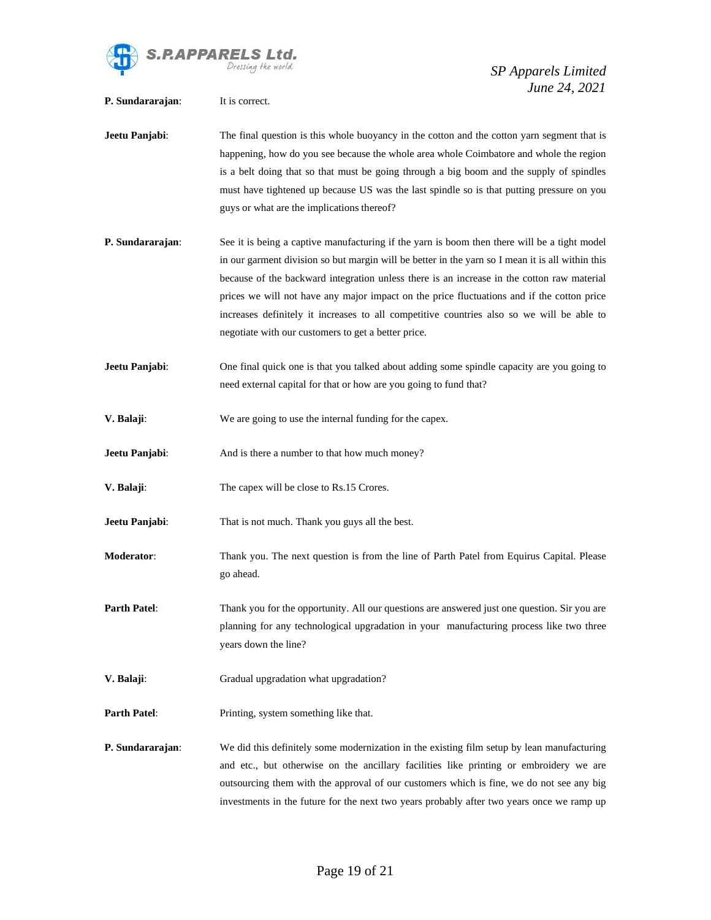

| P. Sundararajan:    | June 24, 2021<br>It is correct.                                                                                                                                                                                                                                                                                                                                                                                                                                                                                                                  |
|---------------------|--------------------------------------------------------------------------------------------------------------------------------------------------------------------------------------------------------------------------------------------------------------------------------------------------------------------------------------------------------------------------------------------------------------------------------------------------------------------------------------------------------------------------------------------------|
| Jeetu Panjabi:      | The final question is this whole buoyancy in the cotton and the cotton yarn segment that is<br>happening, how do you see because the whole area whole Coimbatore and whole the region<br>is a belt doing that so that must be going through a big boom and the supply of spindles<br>must have tightened up because US was the last spindle so is that putting pressure on you<br>guys or what are the implications thereof?                                                                                                                     |
| P. Sundararajan:    | See it is being a captive manufacturing if the yarn is boom then there will be a tight model<br>in our garment division so but margin will be better in the yarn so I mean it is all within this<br>because of the backward integration unless there is an increase in the cotton raw material<br>prices we will not have any major impact on the price fluctuations and if the cotton price<br>increases definitely it increases to all competitive countries also so we will be able to<br>negotiate with our customers to get a better price. |
| Jeetu Panjabi:      | One final quick one is that you talked about adding some spindle capacity are you going to<br>need external capital for that or how are you going to fund that?                                                                                                                                                                                                                                                                                                                                                                                  |
| V. Balaji:          | We are going to use the internal funding for the capex.                                                                                                                                                                                                                                                                                                                                                                                                                                                                                          |
| Jeetu Panjabi:      | And is there a number to that how much money?                                                                                                                                                                                                                                                                                                                                                                                                                                                                                                    |
| V. Balaji:          | The capex will be close to Rs.15 Crores.                                                                                                                                                                                                                                                                                                                                                                                                                                                                                                         |
| Jeetu Panjabi:      | That is not much. Thank you guys all the best.                                                                                                                                                                                                                                                                                                                                                                                                                                                                                                   |
| Moderator:          | Thank you. The next question is from the line of Parth Patel from Equirus Capital. Please<br>go ahead.                                                                                                                                                                                                                                                                                                                                                                                                                                           |
| <b>Parth Patel:</b> | Thank you for the opportunity. All our questions are answered just one question. Sir you are<br>planning for any technological upgradation in your manufacturing process like two three<br>years down the line?                                                                                                                                                                                                                                                                                                                                  |
| V. Balaji:          | Gradual upgradation what upgradation?                                                                                                                                                                                                                                                                                                                                                                                                                                                                                                            |
| <b>Parth Patel:</b> | Printing, system something like that.                                                                                                                                                                                                                                                                                                                                                                                                                                                                                                            |
| P. Sundararajan:    | We did this definitely some modernization in the existing film setup by lean manufacturing<br>and etc., but otherwise on the ancillary facilities like printing or embroidery we are<br>outsourcing them with the approval of our customers which is fine, we do not see any big<br>investments in the future for the next two years probably after two years once we ramp up                                                                                                                                                                    |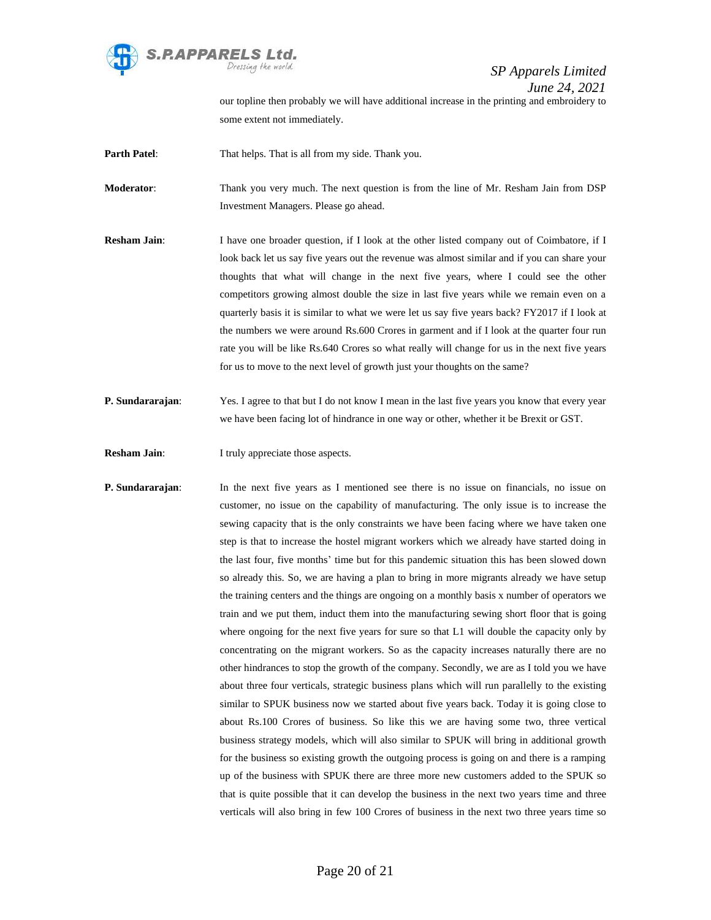

our topline then probably we will have additional increase in the printing and embroidery to some extent not immediately.

**Parth Patel:** That helps. That is all from my side. Thank you.

**Moderator**: Thank you very much. The next question is from the line of Mr. Resham Jain from DSP Investment Managers. Please go ahead.

- **Resham Jain**: I have one broader question, if I look at the other listed company out of Coimbatore, if I look back let us say five years out the revenue was almost similar and if you can share your thoughts that what will change in the next five years, where I could see the other competitors growing almost double the size in last five years while we remain even on a quarterly basis it is similar to what we were let us say five years back? FY2017 if I look at the numbers we were around Rs.600 Crores in garment and if I look at the quarter four run rate you will be like Rs.640 Crores so what really will change for us in the next five years for us to move to the next level of growth just your thoughts on the same?
- **P. Sundararajan:** Yes. I agree to that but I do not know I mean in the last five years you know that every year we have been facing lot of hindrance in one way or other, whether it be Brexit or GST.
- **Resham Jain:** I truly appreciate those aspects.

**P. Sundararajan**: In the next five years as I mentioned see there is no issue on financials, no issue on customer, no issue on the capability of manufacturing. The only issue is to increase the sewing capacity that is the only constraints we have been facing where we have taken one step is that to increase the hostel migrant workers which we already have started doing in the last four, five months' time but for this pandemic situation this has been slowed down so already this. So, we are having a plan to bring in more migrants already we have setup the training centers and the things are ongoing on a monthly basis x number of operators we train and we put them, induct them into the manufacturing sewing short floor that is going where ongoing for the next five years for sure so that L1 will double the capacity only by concentrating on the migrant workers. So as the capacity increases naturally there are no other hindrances to stop the growth of the company. Secondly, we are as I told you we have about three four verticals, strategic business plans which will run parallelly to the existing similar to SPUK business now we started about five years back. Today it is going close to about Rs.100 Crores of business. So like this we are having some two, three vertical business strategy models, which will also similar to SPUK will bring in additional growth for the business so existing growth the outgoing process is going on and there is a ramping up of the business with SPUK there are three more new customers added to the SPUK so that is quite possible that it can develop the business in the next two years time and three verticals will also bring in few 100 Crores of business in the next two three years time so